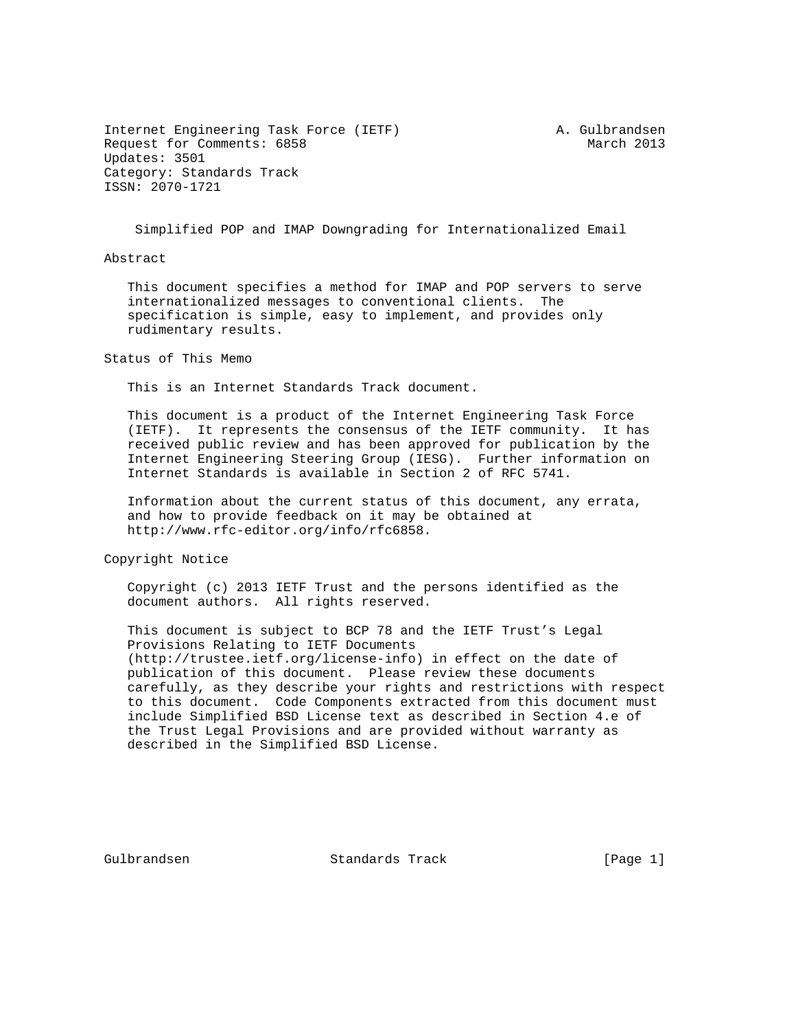Internet Engineering Task Force (IETF) A. Gulbrandsen Request for Comments: 6858 March 2013 Updates: 3501 Category: Standards Track ISSN: 2070-1721

Simplified POP and IMAP Downgrading for Internationalized Email

Abstract

 This document specifies a method for IMAP and POP servers to serve internationalized messages to conventional clients. The specification is simple, easy to implement, and provides only rudimentary results.

Status of This Memo

This is an Internet Standards Track document.

 This document is a product of the Internet Engineering Task Force (IETF). It represents the consensus of the IETF community. It has received public review and has been approved for publication by the Internet Engineering Steering Group (IESG). Further information on Internet Standards is available in Section 2 of RFC 5741.

 Information about the current status of this document, any errata, and how to provide feedback on it may be obtained at http://www.rfc-editor.org/info/rfc6858.

Copyright Notice

 Copyright (c) 2013 IETF Trust and the persons identified as the document authors. All rights reserved.

 This document is subject to BCP 78 and the IETF Trust's Legal Provisions Relating to IETF Documents (http://trustee.ietf.org/license-info) in effect on the date of publication of this document. Please review these documents carefully, as they describe your rights and restrictions with respect to this document. Code Components extracted from this document must include Simplified BSD License text as described in Section 4.e of the Trust Legal Provisions and are provided without warranty as described in the Simplified BSD License.

Gulbrandsen Standards Track [Page 1]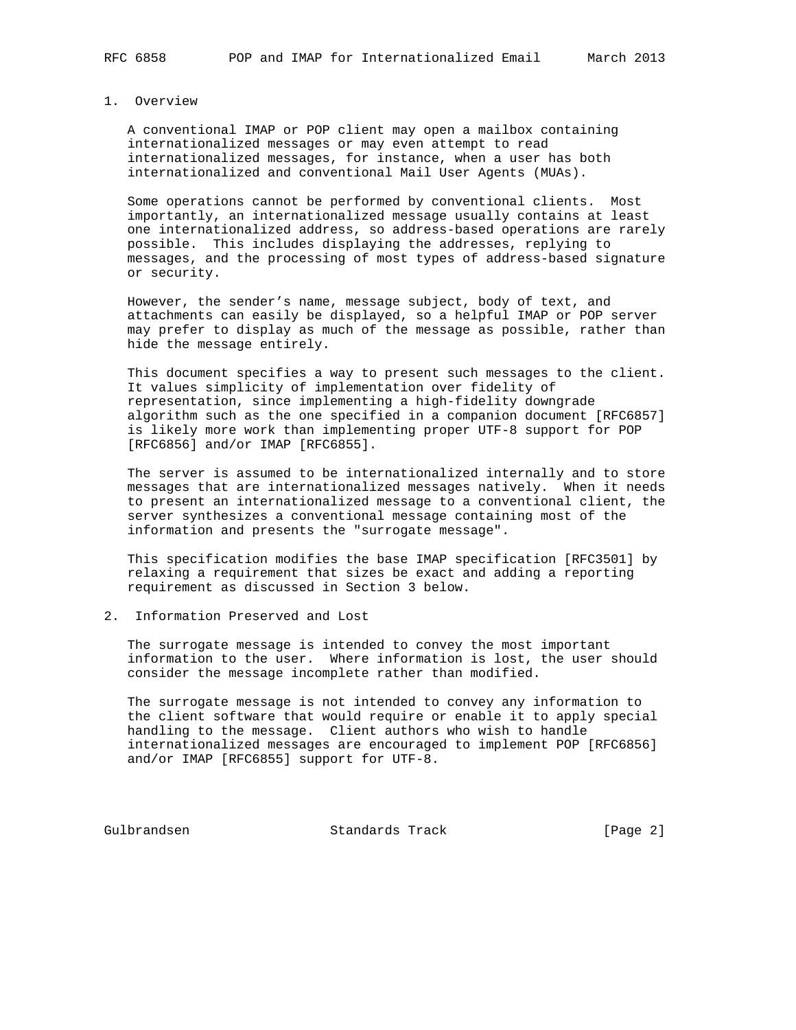#### 1. Overview

 A conventional IMAP or POP client may open a mailbox containing internationalized messages or may even attempt to read internationalized messages, for instance, when a user has both internationalized and conventional Mail User Agents (MUAs).

 Some operations cannot be performed by conventional clients. Most importantly, an internationalized message usually contains at least one internationalized address, so address-based operations are rarely possible. This includes displaying the addresses, replying to messages, and the processing of most types of address-based signature or security.

 However, the sender's name, message subject, body of text, and attachments can easily be displayed, so a helpful IMAP or POP server may prefer to display as much of the message as possible, rather than hide the message entirely.

 This document specifies a way to present such messages to the client. It values simplicity of implementation over fidelity of representation, since implementing a high-fidelity downgrade algorithm such as the one specified in a companion document [RFC6857] is likely more work than implementing proper UTF-8 support for POP [RFC6856] and/or IMAP [RFC6855].

 The server is assumed to be internationalized internally and to store messages that are internationalized messages natively. When it needs to present an internationalized message to a conventional client, the server synthesizes a conventional message containing most of the information and presents the "surrogate message".

 This specification modifies the base IMAP specification [RFC3501] by relaxing a requirement that sizes be exact and adding a reporting requirement as discussed in Section 3 below.

# 2. Information Preserved and Lost

 The surrogate message is intended to convey the most important information to the user. Where information is lost, the user should consider the message incomplete rather than modified.

 The surrogate message is not intended to convey any information to the client software that would require or enable it to apply special handling to the message. Client authors who wish to handle internationalized messages are encouraged to implement POP [RFC6856] and/or IMAP [RFC6855] support for UTF-8.

Gulbrandsen Standards Track [Page 2]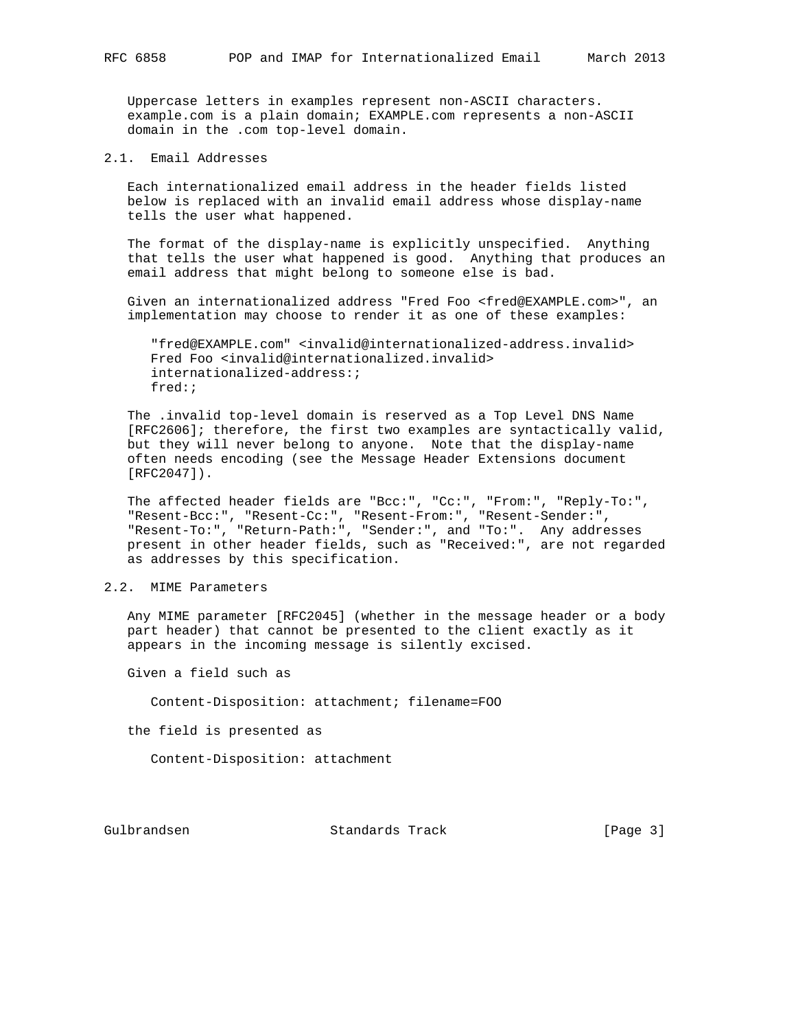Uppercase letters in examples represent non-ASCII characters. example.com is a plain domain; EXAMPLE.com represents a non-ASCII domain in the .com top-level domain.

### 2.1. Email Addresses

 Each internationalized email address in the header fields listed below is replaced with an invalid email address whose display-name tells the user what happened.

 The format of the display-name is explicitly unspecified. Anything that tells the user what happened is good. Anything that produces an email address that might belong to someone else is bad.

 Given an internationalized address "Fred Foo <fred@EXAMPLE.com>", an implementation may choose to render it as one of these examples:

 "fred@EXAMPLE.com" <invalid@internationalized-address.invalid> Fred Foo <invalid@internationalized.invalid> internationalized-address:; fred:;

 The .invalid top-level domain is reserved as a Top Level DNS Name [RFC2606]; therefore, the first two examples are syntactically valid, but they will never belong to anyone. Note that the display-name often needs encoding (see the Message Header Extensions document [RFC2047]).

 The affected header fields are "Bcc:", "Cc:", "From:", "Reply-To:", "Resent-Bcc:", "Resent-Cc:", "Resent-From:", "Resent-Sender:", "Resent-To:", "Return-Path:", "Sender:", and "To:". Any addresses present in other header fields, such as "Received:", are not regarded as addresses by this specification.

## 2.2. MIME Parameters

 Any MIME parameter [RFC2045] (whether in the message header or a body part header) that cannot be presented to the client exactly as it appears in the incoming message is silently excised.

Given a field such as

Content-Disposition: attachment; filename=FOO

the field is presented as

Content-Disposition: attachment

Gulbrandsen Standards Track [Page 3]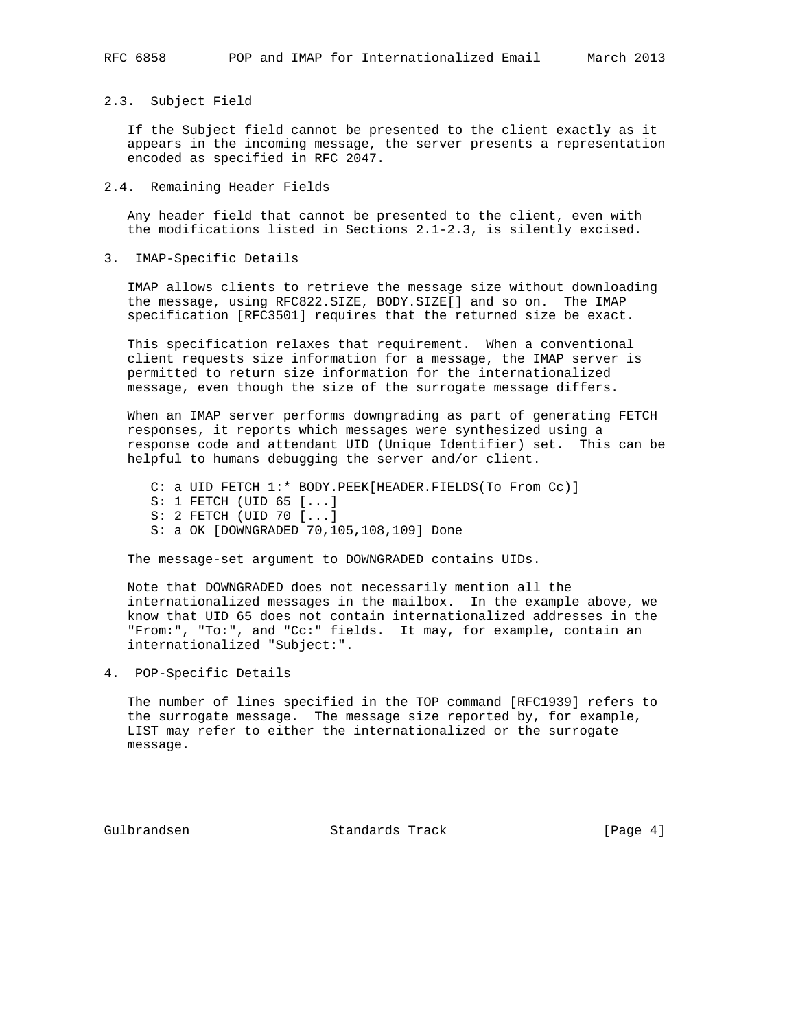### 2.3. Subject Field

 If the Subject field cannot be presented to the client exactly as it appears in the incoming message, the server presents a representation encoded as specified in RFC 2047.

2.4. Remaining Header Fields

 Any header field that cannot be presented to the client, even with the modifications listed in Sections 2.1-2.3, is silently excised.

3. IMAP-Specific Details

 IMAP allows clients to retrieve the message size without downloading the message, using RFC822.SIZE, BODY.SIZE[] and so on. The IMAP specification [RFC3501] requires that the returned size be exact.

 This specification relaxes that requirement. When a conventional client requests size information for a message, the IMAP server is permitted to return size information for the internationalized message, even though the size of the surrogate message differs.

 When an IMAP server performs downgrading as part of generating FETCH responses, it reports which messages were synthesized using a response code and attendant UID (Unique Identifier) set. This can be helpful to humans debugging the server and/or client.

 C: a UID FETCH 1:\* BODY.PEEK[HEADER.FIELDS(To From Cc)] S: 1 FETCH (UID 65 [...] S: 2 FETCH (UID 70 [...] S: a OK [DOWNGRADED 70,105,108,109] Done

The message-set argument to DOWNGRADED contains UIDs.

 Note that DOWNGRADED does not necessarily mention all the internationalized messages in the mailbox. In the example above, we know that UID 65 does not contain internationalized addresses in the "From:", "To:", and "Cc:" fields. It may, for example, contain an internationalized "Subject:".

4. POP-Specific Details

 The number of lines specified in the TOP command [RFC1939] refers to the surrogate message. The message size reported by, for example, LIST may refer to either the internationalized or the surrogate message.

Gulbrandsen Standards Track [Page 4]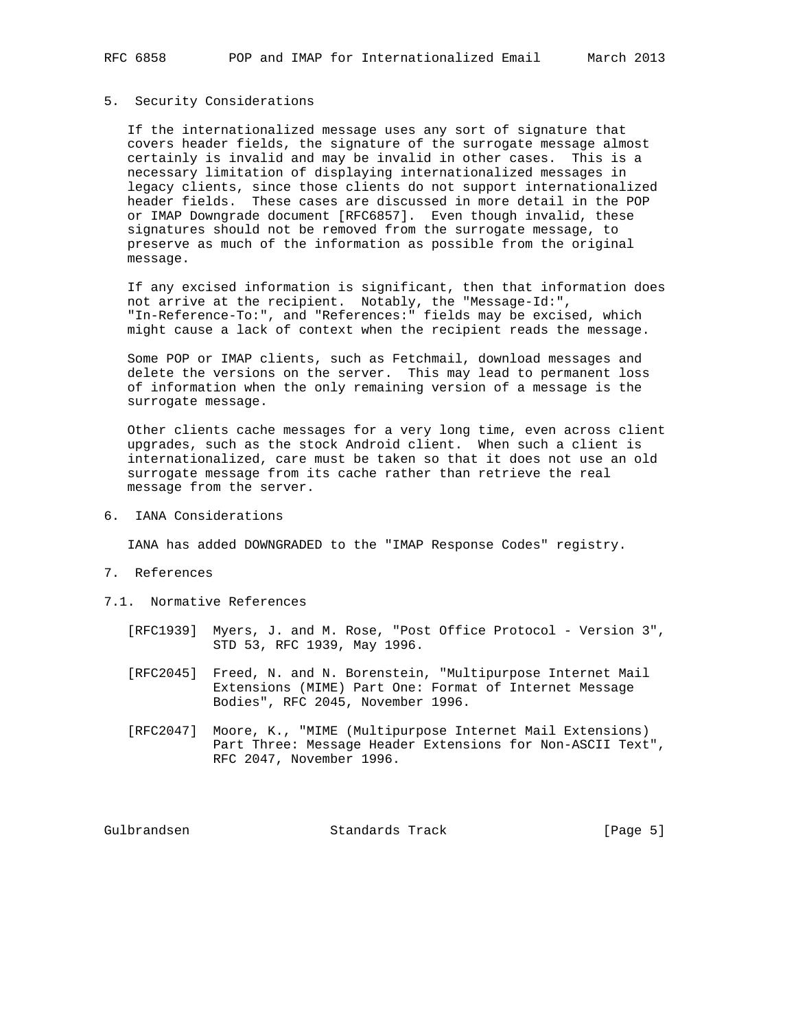### 5. Security Considerations

 If the internationalized message uses any sort of signature that covers header fields, the signature of the surrogate message almost certainly is invalid and may be invalid in other cases. This is a necessary limitation of displaying internationalized messages in legacy clients, since those clients do not support internationalized header fields. These cases are discussed in more detail in the POP or IMAP Downgrade document [RFC6857]. Even though invalid, these signatures should not be removed from the surrogate message, to preserve as much of the information as possible from the original message.

 If any excised information is significant, then that information does not arrive at the recipient. Notably, the "Message-Id:", "In-Reference-To:", and "References:" fields may be excised, which might cause a lack of context when the recipient reads the message.

 Some POP or IMAP clients, such as Fetchmail, download messages and delete the versions on the server. This may lead to permanent loss of information when the only remaining version of a message is the surrogate message.

 Other clients cache messages for a very long time, even across client upgrades, such as the stock Android client. When such a client is internationalized, care must be taken so that it does not use an old surrogate message from its cache rather than retrieve the real message from the server.

6. IANA Considerations

IANA has added DOWNGRADED to the "IMAP Response Codes" registry.

- 7. References
- 7.1. Normative References
	- [RFC1939] Myers, J. and M. Rose, "Post Office Protocol Version 3", STD 53, RFC 1939, May 1996.
	- [RFC2045] Freed, N. and N. Borenstein, "Multipurpose Internet Mail Extensions (MIME) Part One: Format of Internet Message Bodies", RFC 2045, November 1996.
	- [RFC2047] Moore, K., "MIME (Multipurpose Internet Mail Extensions) Part Three: Message Header Extensions for Non-ASCII Text", RFC 2047, November 1996.

Gulbrandsen Standards Track [Page 5]